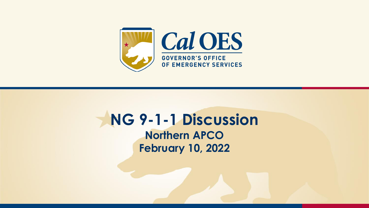

#### **NG 9-1-1 Discussion Northern APCO February 10, 2022**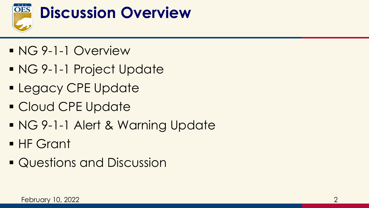

- NG 9-1-1 Overview
- NG 9-1-1 Project Update
- **ELEGACY CPE Update**
- Cloud CPE Update
- NG 9-1-1 Alert & Warning Update
- HF Grant
- Questions and Discussion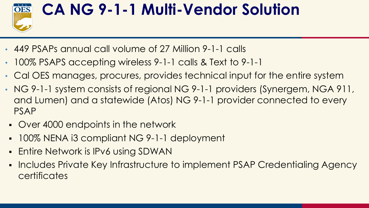

# **CA NG 9-1-1 Multi-Vendor Solution**

- 449 PSAPs annual call volume of 27 Million 9-1-1 calls
- 100% PSAPS accepting wireless 9-1-1 calls & Text to 9-1-1
- Cal OES manages, procures, provides technical input for the entire system
- NG 9-1-1 system consists of regional NG 9-1-1 providers (Synergem, NGA 911, and Lumen) and a statewide (Atos) NG 9-1-1 provider connected to every PSAP
	- Over 4000 endpoints in the network
- 100% NENA i3 compliant NG 9-1-1 deployment
- **Entire Network is IPv6 using SDWAN**
- **Includes Private Key Infrastructure to implement PSAP Credentialing Agency certificates**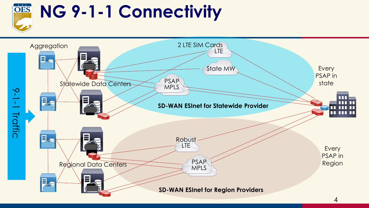

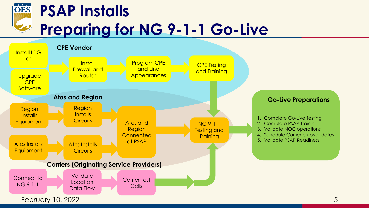

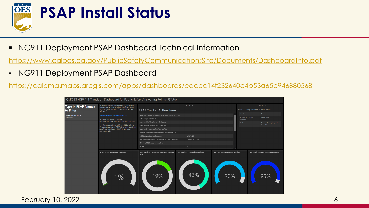

### **PSAP Install Status**

■ NG911 Deployment PSAP Dashboard Technical Information

<https://www.caloes.ca.gov/PublicSafetyCommunicationsSite/Documents/DashboardInfo.pdf>

▪ NG911 Deployment PSAP Dashboard

<https://calema.maps.arcgis.com/apps/dashboards/edccc14f232640c4b53a65e946880568>

| CalOES NG9-1-1 Transition Dashboard for Public Safety Answering Points (PSAPs) |                                                                                                                                                                                                                                                                        |                                                                                 |                                         |                                            |                                                                        |                                                |
|--------------------------------------------------------------------------------|------------------------------------------------------------------------------------------------------------------------------------------------------------------------------------------------------------------------------------------------------------------------|---------------------------------------------------------------------------------|-----------------------------------------|--------------------------------------------|------------------------------------------------------------------------|------------------------------------------------|
| <b>Type in PSAP Names</b><br>to Filter                                         | To access indicator descriptions, regional NG911<br>contact information, or report a technical issue<br>regarding the dashboard, please click the link<br>below:                                                                                                       | $\leftarrow$ 1 of 50 $\rightarrow$<br><b>PSAP Tracker Action Items</b>          |                                         |                                            | $4.1$ of 50 $\rightarrow$<br>Has Your County Submitted NG911 GIS data? |                                                |
| <b>Select a PSAP Below</b><br>Click here                                       | <b>Dashboard Technical Documentation</b>                                                                                                                                                                                                                               | Atos Abandon Switch and Alternate Answer Training and Testing                   |                                         |                                            | County                                                                 | Alameda                                        |
|                                                                                | *If filter is not applied, displayed<br>percentages reflect statewide transition progress.<br>** A date entered into a table or a 100% value in<br>the graph means your PSAP(s) has completed that<br>step in the transition. A 00/00/00 date entry<br>represents N/A. | Atos Equipment Installed                                                        |                                         |                                            | Most Recent GIS Data<br>Received                                       | May 9, 2021                                    |
|                                                                                |                                                                                                                                                                                                                                                                        | Atos Provider 1 Installed and Configured                                        |                                         |                                            | PSAP                                                                   | Alameda County Regional                        |
|                                                                                |                                                                                                                                                                                                                                                                        | Atos Provider 2 Installed and Configured                                        |                                         |                                            |                                                                        | Fire/LLNL                                      |
|                                                                                |                                                                                                                                                                                                                                                                        | Atos Run Pre Migration Test Plan with PSAP                                      |                                         |                                            |                                                                        |                                                |
|                                                                                |                                                                                                                                                                                                                                                                        | Confirm Monitoring is Enabled on all Devices going Live                         |                                         |                                            |                                                                        |                                                |
|                                                                                |                                                                                                                                                                                                                                                                        | CPE Software Upgrade Completed<br>6/23/2021                                     |                                         |                                            |                                                                        |                                                |
|                                                                                |                                                                                                                                                                                                                                                                        | CPE Vendor Completed Validate PSAP NG 9-1-1 Transfer List<br>September 13, 2021 |                                         |                                            |                                                                        |                                                |
|                                                                                |                                                                                                                                                                                                                                                                        | NGCS to CPE Integration Complete                                                |                                         |                                            |                                                                        |                                                |
|                                                                                |                                                                                                                                                                                                                                                                        | Phase                                                                           |                                         |                                            |                                                                        |                                                |
|                                                                                | NGCS to CPE Integration Complete<br>$\frac{9}{6}$                                                                                                                                                                                                                      | CPE Validated With PSAP for NG911 Transfer<br>List<br>19%                       | PSAPs with CPE Upgrade Completed<br>43% | PSAPs with Atos Equipment Installed<br>90% |                                                                        | PSAPs with Regional Equipment Installed<br>95% |

February 10, 2022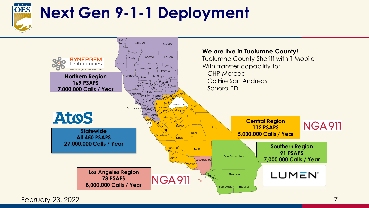

# **Next Gen 9-1-1 Deployment**



February 23, 2022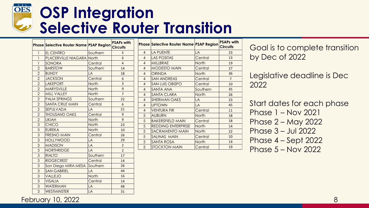#### OES **OSP Integration Selective Router Transition**

|                | Phase Selective Router Name PSAP Region |              | <b>PSAPs with</b><br><b>Circuits</b> |
|----------------|-----------------------------------------|--------------|--------------------------------------|
| 1              | EL CENTRO                               | Southern     | 5                                    |
| $\mathbf{1}$   | <b>PLACERVILLE NIAGARA North</b>        |              | 6                                    |
| 1              | SONORA                                  | Central      | 4                                    |
| $\overline{2}$ | <b>BARSTOW</b>                          | Southern     | 14                                   |
| $\overline{2}$ | <b>BUNDY</b>                            | LÄ           | 18                                   |
| $\overline{2}$ | <b>JACKSON</b>                          | Central      | 6                                    |
| $\overline{2}$ | <b>LAKEPORT</b>                         | North        | 3                                    |
| $\overline{2}$ | <b>MARYSVILLE</b>                       | North        | 9                                    |
| $\overline{2}$ | <b>MILL VALLEY</b>                      | <b>North</b> | $\overline{7}$                       |
| $\overline{2}$ | <b>PALM SPRINGS</b>                     | Southern     | 22                                   |
| $\overline{2}$ | <b>SANTA CRUZ MAIN</b>                  | Central      | 6                                    |
| $\overline{2}$ | <b>SEPULVADA</b>                        | LA           | 21                                   |
| $\overline{c}$ | <b>THOUSAND OAKS</b>                    | Central      | 9                                    |
| $\overline{2}$ | <b>UKIAH</b>                            | North        | 9                                    |
| 3              | <b>CHICO</b>                            | North        | 23                                   |
| 3              | <b>EUREKA</b>                           | North        | 10                                   |
| 3              | <b>FRESNO MAIN</b>                      | Central      | 26                                   |
| 3              | <b>HOLLYWOOD</b>                        | LA           | 29                                   |
| $\overline{3}$ | <b>MADISON</b>                          | LA           | $\overline{2}$                       |
| 3              | <b>NORTHRIDGE</b>                       | LA           | $\overline{2}$                       |
| 3              | <b>RIALTO</b>                           | Southern     | 17                                   |
| 3              | <b>RIDGECREST</b>                       | Central      | 14                                   |
| 3              | San Diego MIRA MESA                     | Southern     | 26                                   |
| 3              | <b>SAN GABRIEL</b>                      | LA           | 44                                   |
| 3              | VALLEJO                                 | <b>North</b> | 16                                   |
| 3              | <b>VISALIA</b>                          | Central      | 14                                   |
| 3              | <b>WATERMAN</b>                         | LA           | 48                                   |
| 3              | <b>WESTMINSTER</b>                      | LA           | 31                                   |

|                          | <b>Phase Selective Router Name PSAP Region</b> |                | <b>PSAPs with</b><br><b>Circuits</b> |
|--------------------------|------------------------------------------------|----------------|--------------------------------------|
| $\overline{\mathcal{A}}$ | <b>LA PUENTE</b>                               | LA             | 23                                   |
| $\overline{4}$           | <b>LAS POSITAS</b>                             | Central        | 13                                   |
| $\overline{4}$           | <b>MILLBRAE</b>                                | <b>North</b>   | 19                                   |
| $\overline{4}$           | <b>MODESTO MAIN</b>                            | Central        | 27                                   |
| $\overline{4}$           | <b>ORINDA</b>                                  | <b>North</b>   | 36                                   |
| $\overline{4}$           | <b>SAN ANDREAS</b>                             | Central        | $\overline{7}$                       |
| $\overline{4}$           | <b>SAN LUIS OBISPO</b>                         | Central        | 10                                   |
| $\overline{4}$           | SANTA ANA                                      | Southern       | 35                                   |
| $\overline{4}$           | SANTA CLARA                                    | <b>North</b>   | 26                                   |
| $\overline{4}$           | <b>SHERMAN OAKS</b>                            | LA             | 23                                   |
| $\overline{\mathcal{A}}$ | <b>UPTOWN</b>                                  | $\overline{A}$ | 45                                   |
| $\overline{\mathcal{A}}$ | <b>VENTURA FIR</b>                             | Central        | 11                                   |
| 5                        | <b>AUBURN</b>                                  | <b>North</b>   | 18                                   |
| 5                        | <b>BAKERSFIELD MAIN</b>                        | Central        | 18                                   |
| 5                        | <b>REDDING ENTERPRISE</b>                      | <b>North</b>   | 14                                   |
| 5                        | SACRAMENTO MAIN                                | <b>North</b>   | 22                                   |
| 5                        | SALINAS MAIN                                   | Central        | 10                                   |
| 5                        | SANTA ROSA                                     | <b>North</b>   | 14                                   |
| 5                        | <b>STOCKTON MAIN</b>                           | Central        | 19                                   |
|                          |                                                |                |                                      |

Goal is to complete transition by Dec of 2022

Legislative deadline is Dec 

Start dates for each phase Phase 1 – Nov 2021 Phase 2 – May 2022 Phase 3 – Jul 2022 Phase 4 – Sept 2022 Phase 5 – Nov 2022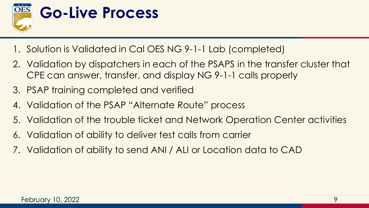

- 1. Solution is Validated in Cal OES NG 9-1-1 Lab (completed)
- 2. Validation by dispatchers in each of the PSAPS in the transfer cluster that CPE can answer, transfer, and display NG 9-1-1 calls properly
- 3. PSAP training completed and verified
- 4. Validation of the PSAP "Alternate Route" process
- 5. Validation of the trouble ticket and Network Operation Center activities
- 6. Validation of ability to deliver test calls from carrier
- 7. Validation of ability to send ANI / ALI or Location data to CAD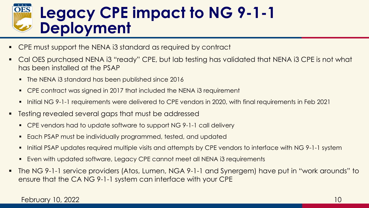### **Legacy CPE impact to NG 9-1-1 Deployment**

- CPE must support the NENA i3 standard as required by contract
- Cal OES purchased NENA i3 "ready" CPE, but lab testing has validated that NENA i3 CPE is not what has been installed at the PSAP
	- The NENA i3 standard has been published since 2016
	- CPE contract was signed in 2017 that included the NENA i3 requirement
	- Initial NG 9-1-1 requirements were delivered to CPE vendors in 2020, with final requirements in Feb 2021
- Testing revealed several gaps that must be addressed
	- CPE vendors had to update software to support NG 9-1-1 call delivery
	- Each PSAP must be individually programmed, tested, and updated
	- Initial PSAP updates required multiple visits and attempts by CPE vendors to interface with NG 9-1-1 system
	- Even with updated software, Legacy CPE cannot meet all NENA i3 requirements
- The NG 9-1-1 service providers (Atos, Lumen, NGA 9-1-1 and Synergem) have put in "work arounds" to ensure that the CA NG 9-1-1 system can interface with your CPE

#### February 10, 2022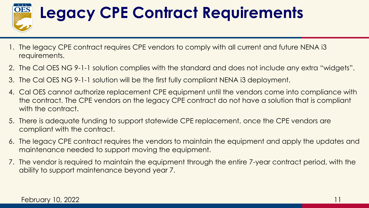

# **Legacy CPE Contract Requirements**

- 1. The legacy CPE contract requires CPE vendors to comply with all current and future NENA i3 requirements.
- 2. The Cal OES NG 9-1-1 solution complies with the standard and does not include any extra "widgets".
- 3. The Cal OES NG 9-1-1 solution will be the first fully compliant NENA i3 deployment.
- 4. Cal OES cannot authorize replacement CPE equipment until the vendors come into compliance with the contract. The CPE vendors on the legacy CPE contract do not have a solution that is compliant with the contract.
- 5. There is adequate funding to support statewide CPE replacement, once the CPE vendors are compliant with the contract.
- 6. The legacy CPE contract requires the vendors to maintain the equipment and apply the updates and maintenance needed to support moving the equipment.
- 7. The vendor is required to maintain the equipment through the entire 7-year contract period, with the ability to support maintenance beyond year 7.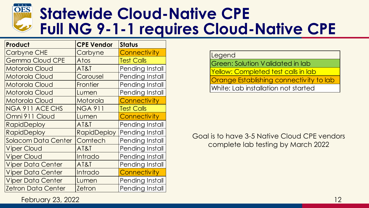

#### **Statewide Cloud-Native CPE Full NG 9-1-1 requires Cloud-Native CPE**

| Product                    | <b>CPE Vendor</b>  | <b>Status</b>       |  |
|----------------------------|--------------------|---------------------|--|
| <b>Carbyne CHE</b>         | Carbyne            | Connectivity        |  |
| <b>Gemma Cloud CPE</b>     | Atos               | <b>Test Calls</b>   |  |
| <b>Motorola Cloud</b>      | AT&T               | Pending Install     |  |
| Motorola Cloud             | Carousel           | Pending Install     |  |
| Motorola Cloud             | Frontier           | Pending Install     |  |
| Motorola Cloud             | Lumen              | Pending Install     |  |
| <b>Motorola Cloud</b>      | Motorola           | <b>Connectivity</b> |  |
| NGA 911 ACE CHS            | <b>NGA 911</b>     | <b>Test Calls</b>   |  |
| Omni 911 Cloud             | Lumen              | <b>Connectivity</b> |  |
| <b>RapidDeploy</b>         | AT&T               | Pending Install     |  |
| <b>RapidDeploy</b>         | <b>RapidDeploy</b> | Pending Install     |  |
| <b>Solacom Data Center</b> | Comtech            | Pending Install     |  |
| <b>Viper Cloud</b>         | AT&T               | Pending Install     |  |
| <b>Viper Cloud</b>         | Intrado            | Pending Install     |  |
| <b>Viper Data Center</b>   | AT&T               | Pending Install     |  |
| <b>Viper Data Center</b>   | Intrado            | <b>Connectivity</b> |  |
| <b>Viper Data Center</b>   | Lumen              | Pending Install     |  |
| <b>Zetron Data Center</b>  | <b>Zetron</b>      | Pending Install     |  |

Legend

Green: Solution Validated in lab Yellow: Completed test calls in lab Orange Establishing connectivity to lab White: Lab installation not started

Goal is to have 3-5 Native Cloud CPE vendors complete lab testing by March 2022

February 23, 2022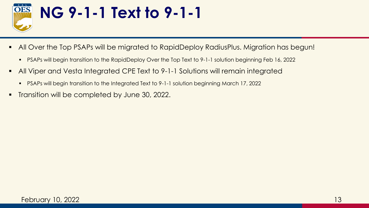

- **.** All Over the Top PSAPs will be migrated to RapidDeploy RadiusPlus. Migration has begun!
	- PSAPs will begin transition to the RapidDeploy Over the Top Text to 9-1-1 solution beginning Feb 16, 2022
- All Viper and Vesta Integrated CPE Text to 9-1-1 Solutions will remain integrated
	- PSAPs will begin transition to the Integrated Text to 9-1-1 solution beginning March 17, 2022
- **Transition will be completed by June 30, 2022.**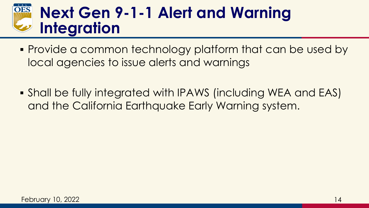#### **OES Next Gen 9-1-1 Alert and Warning Integration**

- Provide a common technology platform that can be used by local agencies to issue alerts and warnings
- **.** Shall be fully integrated with IPAWS (including WEA and EAS) and the California Earthquake Early Warning system.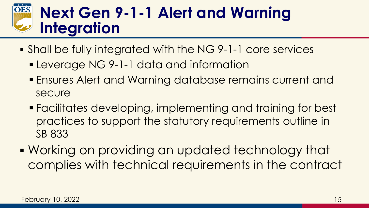### **Next Gen 9-1-1 Alert and Warning Integration**

- Shall be fully integrated with the NG 9-1-1 core services
	- **Example 1944** Leverage NG 9-1-1 data and information
	- **Ensures Alert and Warning database remains current and** secure
	- Facilitates developing, implementing and training for best practices to support the statutory requirements outline in SB 833
- Working on providing an updated technology that complies with technical requirements in the contract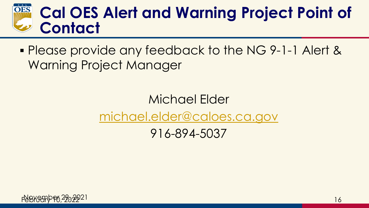### **Cal OES Alert and Warning Project Point of Contact**

▪ Please provide any feedback to the NG 9-1-1 Alert & Warning Project Manager

## Michael Elder [michael.elder@caloes.ca.gov](mailto:michael.elder@caloes.ca.gov)

916-894-5037

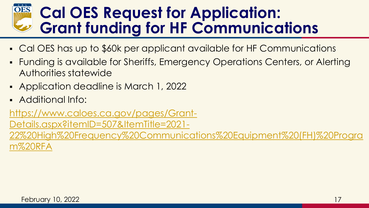#### **OES Cal OES Request for Application: Grant funding for HF Communications**

- Cal OES has up to \$60k per applicant available for HF Communications
- Funding is available for Sheriffs, Emergency Operations Centers, or Alerting Authorities statewide
- **Application deadline is March 1, 2022**
- Additional Info:

https://www.caloes.ca.gov/pages/Grant-Details.aspx?itemID=507&ItemTitle=2021- [22%20High%20Frequency%20Communications%20Equipment%20\(FH\)%20Progra](https://www.caloes.ca.gov/pages/Grant-Details.aspx?itemID=507&ItemTitle=2021-22%20High%20Frequency%20Communications%20Equipment%20(FH)%20Program%20RFA) m%20RFA